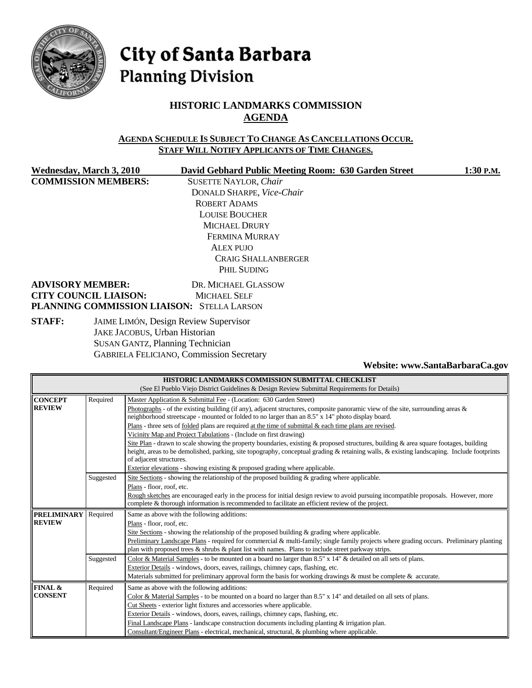

# City of Santa Barbara **Planning Division**

# **HISTORIC LANDMARKS COMMISSION AGENDA**

#### **AGENDA SCHEDULE IS SUBJECT TO CHANGE AS CANCELLATIONS OCCUR. STAFF WILL NOTIFY APPLICANTS OF TIME CHANGES.**

**COMMISSION MEMBERS:** SUSETTE NAYLOR, *Chair*

**Wednesday, March 3, 2010 David Gebhard Public Meeting Room: 630 Garden Street 1:30 P.M.** DONALD SHARPE, *Vice-Chair* ROBERT ADAMS LOUISE BOUCHER MICHAEL DRURY FERMINA MURRAY ALEX PUJO CRAIG SHALLANBERGER PHIL SUDING

#### **ADVISORY MEMBER:** DR. MICHAEL GLASSOW **CITY COUNCIL LIAISON:** MICHAEL SELF **PLANNING COMMISSION LIAISON:** STELLA LARSON

**STAFF:** JAIME LIMÓN, Design Review Supervisor JAKE JACOBUS, Urban Historian SUSAN GANTZ, Planning Technician GABRIELA FELICIANO, Commission Secretary

**Website: www.SantaBarbaraCa.gov** 

| HISTORIC LANDMARKS COMMISSION SUBMITTAL CHECKLIST |                                                                                              |                                                                                                                                            |  |  |  |  |  |  |
|---------------------------------------------------|----------------------------------------------------------------------------------------------|--------------------------------------------------------------------------------------------------------------------------------------------|--|--|--|--|--|--|
|                                                   | (See El Pueblo Viejo District Guidelines & Design Review Submittal Requirements for Details) |                                                                                                                                            |  |  |  |  |  |  |
| <b>CONCEPT</b>                                    | Required                                                                                     | Master Application & Submittal Fee - (Location: 630 Garden Street)                                                                         |  |  |  |  |  |  |
| <b>REVIEW</b>                                     |                                                                                              | Photographs - of the existing building (if any), adjacent structures, composite panoramic view of the site, surrounding areas $\&$         |  |  |  |  |  |  |
|                                                   |                                                                                              | neighborhood streetscape - mounted or folded to no larger than an 8.5" x 14" photo display board.                                          |  |  |  |  |  |  |
|                                                   |                                                                                              | Plans - three sets of <u>folded</u> plans are required at the time of submittal $\&$ each time plans are revised.                          |  |  |  |  |  |  |
|                                                   |                                                                                              | Vicinity Map and Project Tabulations - (Include on first drawing)                                                                          |  |  |  |  |  |  |
|                                                   |                                                                                              | Site Plan - drawn to scale showing the property boundaries, existing & proposed structures, building & area square footages, building      |  |  |  |  |  |  |
|                                                   |                                                                                              | height, areas to be demolished, parking, site topography, conceptual grading & retaining walls, & existing landscaping. Include footprints |  |  |  |  |  |  |
|                                                   |                                                                                              | of adjacent structures.                                                                                                                    |  |  |  |  |  |  |
|                                                   |                                                                                              | Exterior elevations - showing existing & proposed grading where applicable.                                                                |  |  |  |  |  |  |
|                                                   | Suggested                                                                                    | Site Sections - showing the relationship of the proposed building $\&$ grading where applicable.                                           |  |  |  |  |  |  |
|                                                   |                                                                                              | Plans - floor, roof, etc.                                                                                                                  |  |  |  |  |  |  |
|                                                   |                                                                                              | Rough sketches are encouraged early in the process for initial design review to avoid pursuing incompatible proposals. However, more       |  |  |  |  |  |  |
|                                                   |                                                                                              | complete & thorough information is recommended to facilitate an efficient review of the project.                                           |  |  |  |  |  |  |
| <b>PRELIMINARY</b>                                | Required                                                                                     | Same as above with the following additions:                                                                                                |  |  |  |  |  |  |
| <b>REVIEW</b>                                     |                                                                                              | Plans - floor, roof, etc.                                                                                                                  |  |  |  |  |  |  |
|                                                   |                                                                                              | Site Sections - showing the relationship of the proposed building $\&$ grading where applicable.                                           |  |  |  |  |  |  |
|                                                   |                                                                                              | Preliminary Landscape Plans - required for commercial & multi-family; single family projects where grading occurs. Preliminary planting    |  |  |  |  |  |  |
|                                                   |                                                                                              | plan with proposed trees $\&$ shrubs $\&$ plant list with names. Plans to include street parkway strips.                                   |  |  |  |  |  |  |
|                                                   | Suggested                                                                                    | Color & Material Samples - to be mounted on a board no larger than 8.5" x 14" & detailed on all sets of plans.                             |  |  |  |  |  |  |
|                                                   |                                                                                              | Exterior Details - windows, doors, eaves, railings, chimney caps, flashing, etc.                                                           |  |  |  |  |  |  |
|                                                   |                                                                                              | Materials submitted for preliminary approval form the basis for working drawings & must be complete & accurate.                            |  |  |  |  |  |  |
| FINAL &                                           | Required                                                                                     | Same as above with the following additions:                                                                                                |  |  |  |  |  |  |
| <b>CONSENT</b>                                    |                                                                                              | Color & Material Samples - to be mounted on a board no larger than 8.5" x 14" and detailed on all sets of plans.                           |  |  |  |  |  |  |
|                                                   |                                                                                              | Cut Sheets - exterior light fixtures and accessories where applicable.                                                                     |  |  |  |  |  |  |
|                                                   |                                                                                              | Exterior Details - windows, doors, eaves, railings, chimney caps, flashing, etc.                                                           |  |  |  |  |  |  |
|                                                   |                                                                                              | Final Landscape Plans - landscape construction documents including planting $&$ irrigation plan.                                           |  |  |  |  |  |  |
|                                                   |                                                                                              | Consultant/Engineer Plans - electrical, mechanical, structural, & plumbing where applicable.                                               |  |  |  |  |  |  |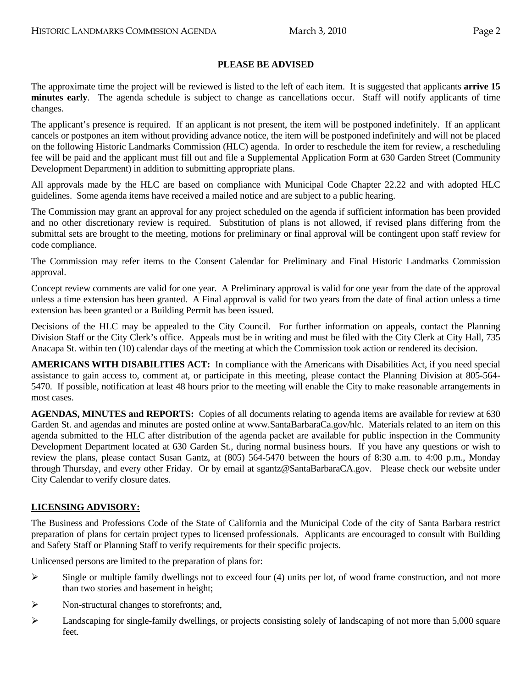## **PLEASE BE ADVISED**

The approximate time the project will be reviewed is listed to the left of each item. It is suggested that applicants **arrive 15 minutes early**. The agenda schedule is subject to change as cancellations occur. Staff will notify applicants of time changes.

The applicant's presence is required. If an applicant is not present, the item will be postponed indefinitely. If an applicant cancels or postpones an item without providing advance notice, the item will be postponed indefinitely and will not be placed on the following Historic Landmarks Commission (HLC) agenda. In order to reschedule the item for review, a rescheduling fee will be paid and the applicant must fill out and file a Supplemental Application Form at 630 Garden Street (Community Development Department) in addition to submitting appropriate plans.

All approvals made by the HLC are based on compliance with Municipal Code Chapter 22.22 and with adopted HLC guidelines. Some agenda items have received a mailed notice and are subject to a public hearing.

The Commission may grant an approval for any project scheduled on the agenda if sufficient information has been provided and no other discretionary review is required. Substitution of plans is not allowed, if revised plans differing from the submittal sets are brought to the meeting, motions for preliminary or final approval will be contingent upon staff review for code compliance.

The Commission may refer items to the Consent Calendar for Preliminary and Final Historic Landmarks Commission approval.

Concept review comments are valid for one year. A Preliminary approval is valid for one year from the date of the approval unless a time extension has been granted. A Final approval is valid for two years from the date of final action unless a time extension has been granted or a Building Permit has been issued.

Decisions of the HLC may be appealed to the City Council. For further information on appeals, contact the Planning Division Staff or the City Clerk's office. Appeals must be in writing and must be filed with the City Clerk at City Hall, 735 Anacapa St. within ten (10) calendar days of the meeting at which the Commission took action or rendered its decision.

**AMERICANS WITH DISABILITIES ACT:** In compliance with the Americans with Disabilities Act, if you need special assistance to gain access to, comment at, or participate in this meeting, please contact the Planning Division at 805-564- 5470. If possible, notification at least 48 hours prior to the meeting will enable the City to make reasonable arrangements in most cases.

**AGENDAS, MINUTES and REPORTS:** Copies of all documents relating to agenda items are available for review at 630 Garden St. and agendas and minutes are posted online at www.SantaBarbaraCa.gov/hlc. Materials related to an item on this agenda submitted to the HLC after distribution of the agenda packet are available for public inspection in the Community Development Department located at 630 Garden St., during normal business hours. If you have any questions or wish to review the plans, please contact Susan Gantz, at (805) 564-5470 between the hours of 8:30 a.m. to 4:00 p.m., Monday through Thursday, and every other Friday. Or by email at sgantz@SantaBarbaraCA.gov. Please check our website under City Calendar to verify closure dates.

### **LICENSING ADVISORY:**

The Business and Professions Code of the State of California and the Municipal Code of the city of Santa Barbara restrict preparation of plans for certain project types to licensed professionals. Applicants are encouraged to consult with Building and Safety Staff or Planning Staff to verify requirements for their specific projects.

Unlicensed persons are limited to the preparation of plans for:

- $\triangleright$  Single or multiple family dwellings not to exceed four (4) units per lot, of wood frame construction, and not more than two stories and basement in height;
- ¾ Non-structural changes to storefronts; and,
- $\blacktriangleright$  Landscaping for single-family dwellings, or projects consisting solely of landscaping of not more than 5,000 square feet.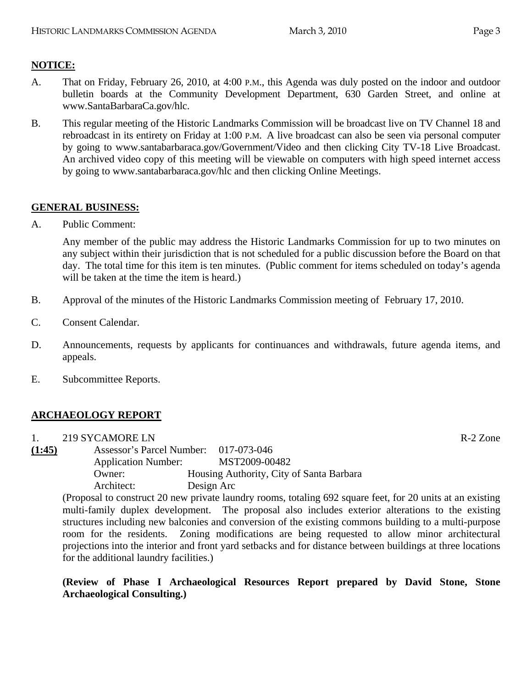## **NOTICE:**

- A. That on Friday, February 26, 2010, at 4:00 P.M., this Agenda was duly posted on the indoor and outdoor bulletin boards at the Community Development Department, 630 Garden Street, and online at www.SantaBarbaraCa.gov/hlc.
- B. This regular meeting of the Historic Landmarks Commission will be broadcast live on TV Channel 18 and rebroadcast in its entirety on Friday at 1:00 P.M. A live broadcast can also be seen via personal computer by going to www.santabarbaraca.gov/Government/Video and then clicking City TV-18 Live Broadcast. An archived video copy of this meeting will be viewable on computers with high speed internet access by going to www.santabarbaraca.gov/hlc and then clicking Online Meetings.

## **GENERAL BUSINESS:**

A. Public Comment:

Any member of the public may address the Historic Landmarks Commission for up to two minutes on any subject within their jurisdiction that is not scheduled for a public discussion before the Board on that day. The total time for this item is ten minutes. (Public comment for items scheduled on today's agenda will be taken at the time the item is heard.)

- B. Approval of the minutes of the Historic Landmarks Commission meeting of February 17, 2010.
- C. Consent Calendar.
- D. Announcements, requests by applicants for continuances and withdrawals, future agenda items, and appeals.
- E. Subcommittee Reports.

## **ARCHAEOLOGY REPORT**

| $\mathbf{1}$ . | 219 SYCAMORE LN                       |            |                                          | R-2 Zone |
|----------------|---------------------------------------|------------|------------------------------------------|----------|
| (1:45)         | Assessor's Parcel Number: 017-073-046 |            |                                          |          |
|                | <b>Application Number:</b>            |            | MST2009-00482                            |          |
|                | Owner:                                |            | Housing Authority, City of Santa Barbara |          |
|                | Architect:                            | Design Arc |                                          |          |

(Proposal to construct 20 new private laundry rooms, totaling 692 square feet, for 20 units at an existing multi-family duplex development. The proposal also includes exterior alterations to the existing structures including new balconies and conversion of the existing commons building to a multi-purpose room for the residents. Zoning modifications are being requested to allow minor architectural projections into the interior and front yard setbacks and for distance between buildings at three locations for the additional laundry facilities.)

**(Review of Phase I Archaeological Resources Report prepared by David Stone, Stone Archaeological Consulting.)**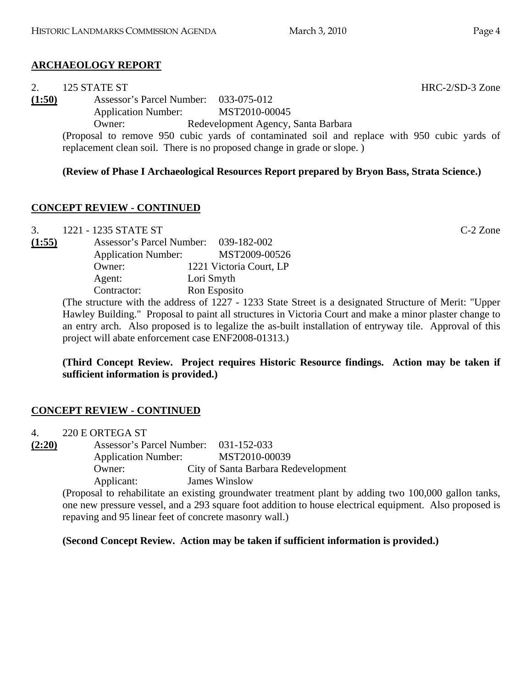# **ARCHAEOLOGY REPORT**

| 2.     | 125 STATE ST                          |                                     |               |  |  |  |
|--------|---------------------------------------|-------------------------------------|---------------|--|--|--|
| (1:50) | Assessor's Parcel Number: 033-075-012 |                                     |               |  |  |  |
|        | <b>Application Number:</b>            |                                     | MST2010-00045 |  |  |  |
|        | Owner:                                | Redevelopment Agency, Santa Barbara |               |  |  |  |
|        |                                       |                                     |               |  |  |  |

(Proposal to remove 950 cubic yards of contaminated soil and replace with 950 cubic yards of replacement clean soil. There is no proposed change in grade or slope. )

# **(Review of Phase I Archaeological Resources Report prepared by Bryon Bass, Strata Science.)**

# **CONCEPT REVIEW - CONTINUED**

3. 1221 - 1235 STATE ST C-2 Zone **(1:55)** Assessor's Parcel Number: 039-182-002 Application Number: MST2009-00526 Owner: 1221 Victoria Court, LP Agent: Lori Smyth Contractor: Ron Esposito

(The structure with the address of 1227 - 1233 State Street is a designated Structure of Merit: "Upper Hawley Building." Proposal to paint all structures in Victoria Court and make a minor plaster change to an entry arch. Also proposed is to legalize the as-built installation of entryway tile. Approval of this project will abate enforcement case ENF2008-01313.)

**(Third Concept Review. Project requires Historic Resource findings. Action may be taken if sufficient information is provided.)** 

# **CONCEPT REVIEW - CONTINUED**

4. 220 E ORTEGA ST **(2:20)** Assessor's Parcel Number: 031-152-033 Application Number: MST2010-00039 Owner: City of Santa Barbara Redevelopment Applicant: James Winslow

(Proposal to rehabilitate an existing groundwater treatment plant by adding two 100,000 gallon tanks, one new pressure vessel, and a 293 square foot addition to house electrical equipment. Also proposed is repaving and 95 linear feet of concrete masonry wall.)

# **(Second Concept Review. Action may be taken if sufficient information is provided.)**

 $HRC-2/SD-3$  Zone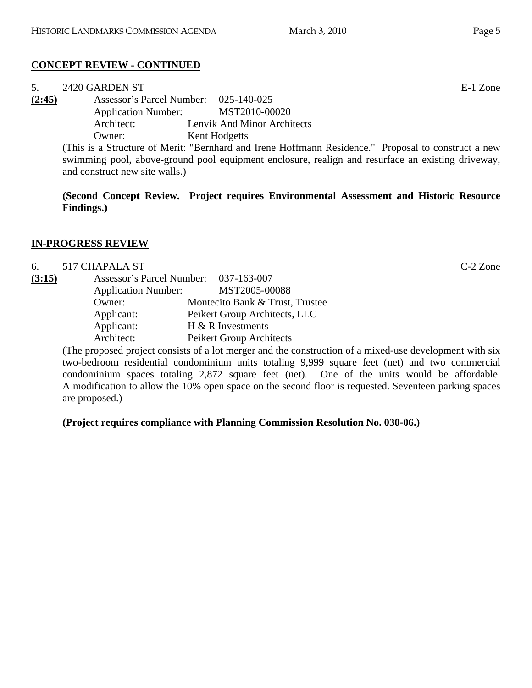# **CONCEPT REVIEW - CONTINUED**

| 5.     | 2420 GARDEN ST                                                                                    |                                                                                                     | E-1 Zone |  |  |  |
|--------|---------------------------------------------------------------------------------------------------|-----------------------------------------------------------------------------------------------------|----------|--|--|--|
| (2:45) | Assessor's Parcel Number: 025-140-025                                                             |                                                                                                     |          |  |  |  |
|        | <b>Application Number:</b>                                                                        | MST2010-00020                                                                                       |          |  |  |  |
|        | Architect:                                                                                        | Lenvik And Minor Architects                                                                         |          |  |  |  |
|        | Owner:                                                                                            | Kent Hodgetts                                                                                       |          |  |  |  |
|        |                                                                                                   | (This is a Structure of Merit: "Bernhard and Irene Hoffmann Residence." Proposal to construct a new |          |  |  |  |
|        | swimming pool, above-ground pool equipment enclosure, realign and resurface an existing driveway, |                                                                                                     |          |  |  |  |

and construct new site walls.)

**(Second Concept Review. Project requires Environmental Assessment and Historic Resource Findings.)** 

### **IN-PROGRESS REVIEW**

| 6.     | 517 CHAPALA ST             |                                       | $C-2$ Zone |
|--------|----------------------------|---------------------------------------|------------|
| (3:15) |                            | Assessor's Parcel Number: 037-163-007 |            |
|        | <b>Application Number:</b> | MST2005-00088                         |            |
|        | Owner:                     | Montecito Bank & Trust, Trustee       |            |
|        | Applicant:                 | Peikert Group Architects, LLC         |            |
|        | Applicant:                 | $H & R$ Investments                   |            |
|        | Architect:                 | Peikert Group Architects              |            |

(The proposed project consists of a lot merger and the construction of a mixed-use development with six two-bedroom residential condominium units totaling 9,999 square feet (net) and two commercial condominium spaces totaling 2,872 square feet (net). One of the units would be affordable. A modification to allow the 10% open space on the second floor is requested. Seventeen parking spaces are proposed.)

**(Project requires compliance with Planning Commission Resolution No. 030-06.)**